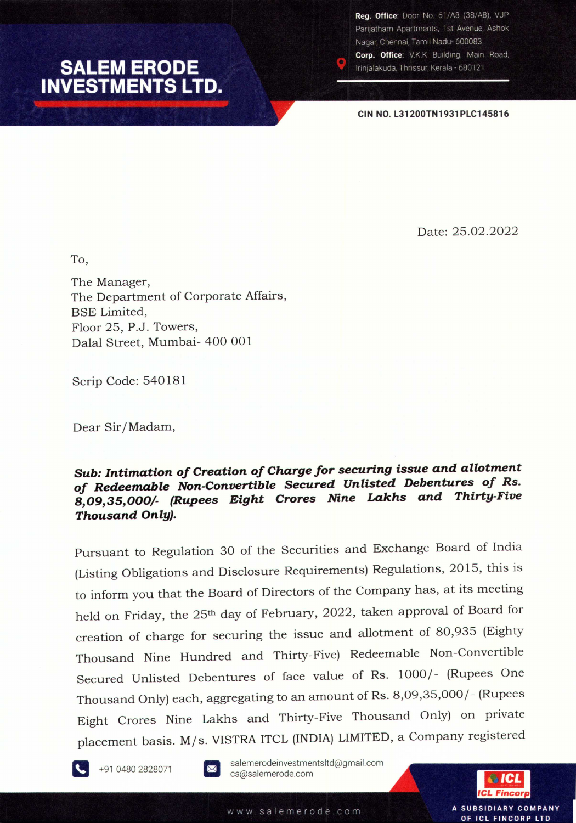## **SALEM ERODE<br>INVESTMENTS LTD.**

Reg. Office: Door No. 61/A8 (38/A8), VJP Parijatham Apartments, 1st Avenue, Ashok Nagar, Chennai, Tamil Nadu- 600083 Corp. Office: V.K.K Building, Main Road, Irinjalakuda, Thrissur, Kerala - 680121

**CIN NO. L31200TN1931PLC145816**

Date: 25.02.2022

To,

The Manager, The Department of Corporate Affairs, BSE Limited, Floor 25, P.J. Towers, Dalal Street, Mumbai- 400 001

Scrip Code: 540181

Dear Sir*I*Madam,

## *Sub: Intimation of Creation of Chargefor securing issue and allotment of Redeemable Non-Convertible Secured Unlisted Debentures of Rs. 8,09,35,000/- (Rupees Eight Crores Nine Lakhs and Thirty-Five Thousand Only).*

Pursuant to Regulation 30 of the Securities and Exchange Board of India (Listing Obligations and Disclosure Requirements) Regulations, 2015, this is to inform you that the Board of Directors of the Company has, at its meeting held on Friday, the 25<sup>th</sup> day of February, 2022, taken approval of Board for creation of charge for securing the issue and allotment of 80,935 (Eighty Thousand Nine Hundred and Thirty-Five) Redeemable Non-Convertible Secured Unlisted Debentures of face value of Rs. 1000/- (Rupees One Thousand Only) each, aggregating to an amount of Rs. 8,09,35,000 *I-*(Rupees Eight Crores Nine Lakhs and Thirty-Five Thousand Only) on private placement basis. M/s. VISTRA ITCL (INDIA) LIMITED, a Company registered



+91 0480 2828071



salemerodeinvestmentsltd@gmail.com cs@salemerode.com



A SUBSIDIARY COMPANY OF ICL FINCORP LTD